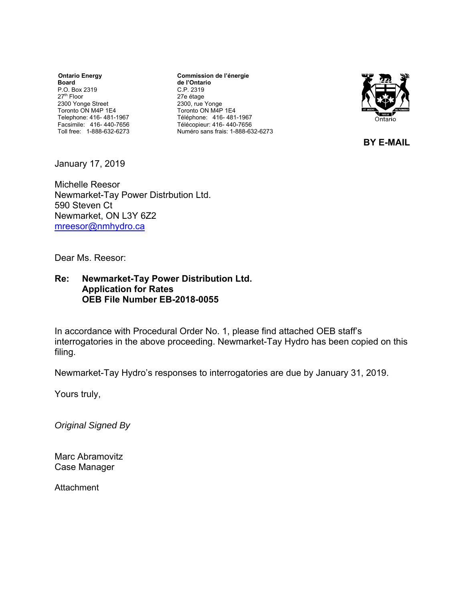**Ontario Energy Board**  P.O. Box 2319 27th Floor 2300 Yonge Street Toronto ON M4P 1E4 Telephone: 416- 481-1967 Facsimile: 416- 440-7656 Toll free: 1-888-632-6273

**Commission de l'énergie de l'Ontario** C.P. 2319 27e étage 2300, rue Yonge Toronto ON M4P 1E4 Téléphone: 416- 481-1967 Télécopieur: 416- 440-7656 Numéro sans frais: 1-888-632-6273



**BY E-MAIL**

January 17, 2019

Michelle Reesor Newmarket-Tay Power Distrbution Ltd. 590 Steven Ct Newmarket, ON L3Y 6Z2 mreesor@nmhydro.ca

Dear Ms. Reesor:

# **Re: Newmarket-Tay Power Distribution Ltd. Application for Rates OEB File Number EB-2018-0055**

In accordance with Procedural Order No. 1, please find attached OEB staff's interrogatories in the above proceeding. Newmarket-Tay Hydro has been copied on this filing.

Newmarket-Tay Hydro's responses to interrogatories are due by January 31, 2019.

Yours truly,

*Original Signed By* 

Marc Abramovitz Case Manager

**Attachment**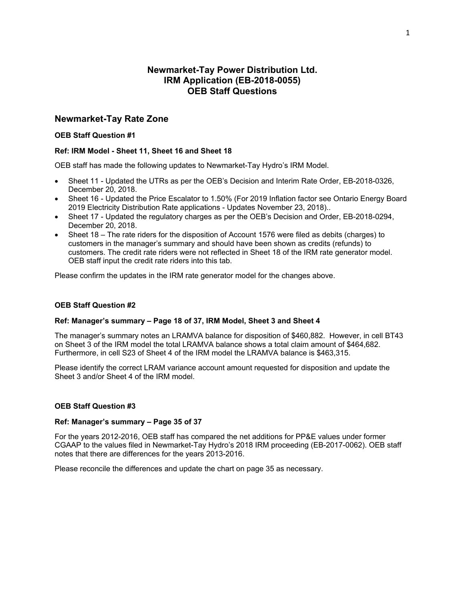# **Newmarket-Tay Power Distribution Ltd. IRM Application (EB-2018-0055) OEB Staff Questions**

# **Newmarket-Tay Rate Zone**

## **OEB Staff Question #1**

## **Ref: IRM Model - Sheet 11, Sheet 16 and Sheet 18**

OEB staff has made the following updates to Newmarket-Tay Hydro's IRM Model.

- Sheet 11 Updated the UTRs as per the OEB's Decision and Interim Rate Order, EB-2018-0326, December 20, 2018.
- Sheet 16 Updated the Price Escalator to 1.50% (For 2019 Inflation factor see Ontario Energy Board 2019 Electricity Distribution Rate applications - Updates November 23, 2018)..
- Sheet 17 Updated the regulatory charges as per the OEB's Decision and Order, EB-2018-0294, December 20, 2018.
- Sheet 18 The rate riders for the disposition of Account 1576 were filed as debits (charges) to customers in the manager's summary and should have been shown as credits (refunds) to customers. The credit rate riders were not reflected in Sheet 18 of the IRM rate generator model. OEB staff input the credit rate riders into this tab.

Please confirm the updates in the IRM rate generator model for the changes above.

## **OEB Staff Question #2**

#### **Ref: Manager's summary – Page 18 of 37, IRM Model, Sheet 3 and Sheet 4**

The manager's summary notes an LRAMVA balance for disposition of \$460,882. However, in cell BT43 on Sheet 3 of the IRM model the total LRAMVA balance shows a total claim amount of \$464,682. Furthermore, in cell S23 of Sheet 4 of the IRM model the LRAMVA balance is \$463,315.

Please identify the correct LRAM variance account amount requested for disposition and update the Sheet 3 and/or Sheet 4 of the IRM model.

#### **OEB Staff Question #3**

#### **Ref: Manager's summary – Page 35 of 37**

For the years 2012-2016, OEB staff has compared the net additions for PP&E values under former CGAAP to the values filed in Newmarket-Tay Hydro's 2018 IRM proceeding (EB-2017-0062). OEB staff notes that there are differences for the years 2013-2016.

Please reconcile the differences and update the chart on page 35 as necessary.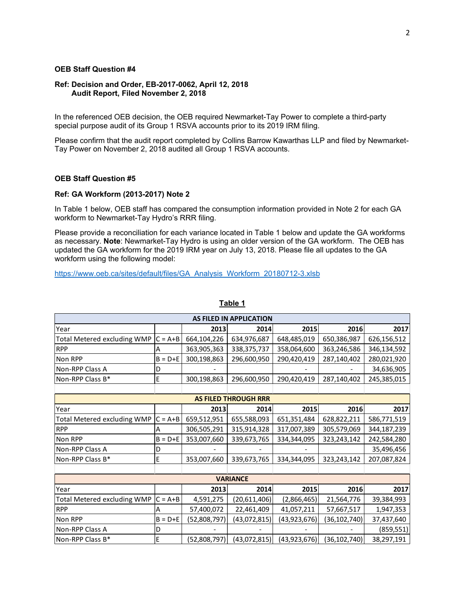# **Ref: Decision and Order, EB-2017-0062, April 12, 2018 Audit Report, Filed November 2, 2018**

In the referenced OEB decision, the OEB required Newmarket-Tay Power to complete a third-party special purpose audit of its Group 1 RSVA accounts prior to its 2019 IRM filing.

Please confirm that the audit report completed by Collins Barrow Kawarthas LLP and filed by Newmarket-Tay Power on November 2, 2018 audited all Group 1 RSVA accounts.

## **OEB Staff Question #5**

### **Ref: GA Workform (2013-2017) Note 2**

In Table 1 below, OEB staff has compared the consumption information provided in Note 2 for each GA workform to Newmarket-Tay Hydro's RRR filing.

Please provide a reconciliation for each variance located in Table 1 below and update the GA workforms as necessary. **Note**: Newmarket-Tay Hydro is using an older version of the GA workform. The OEB has updated the GA workform for the 2019 IRM year on July 13, 2018. Please file all updates to the GA workform using the following model:

https://www.oeb.ca/sites/default/files/GA\_Analysis\_Workform\_20180712-3.xlsb

| <b>AS FILED IN APPLICATION</b>     |             |              |                             |                |                |             |  |
|------------------------------------|-------------|--------------|-----------------------------|----------------|----------------|-------------|--|
| Year                               |             | 2013         | 2014                        | 2015           | 2016           | 2017        |  |
| <b>Total Metered excluding WMP</b> | $C = A + B$ | 664,104,226  | 634,976,687                 | 648,485,019    | 650,386,987    | 626,156,512 |  |
| <b>RPP</b>                         | А           | 363,905,363  | 338, 375, 737               | 358,064,600    | 363,246,586    | 346,134,592 |  |
| Non RPP                            | $B = D + E$ | 300,198,863  | 296,600,950                 | 290,420,419    | 287,140,402    | 280,021,920 |  |
| Non-RPP Class A                    | D           |              |                             |                |                | 34,636,905  |  |
| Non-RPP Class B*                   | E           | 300,198,863  | 296,600,950                 | 290,420,419    | 287,140,402    | 245,385,015 |  |
|                                    |             |              |                             |                |                |             |  |
|                                    |             |              | <b>AS FILED THROUGH RRR</b> |                |                |             |  |
| Year                               |             | 2013         | 2014                        | 2015           | 2016           | 2017        |  |
| <b>Total Metered excluding WMP</b> | $C = A + B$ | 659,512,951  | 655,588,093                 | 651,351,484    | 628,822,211    | 586,771,519 |  |
| <b>RPP</b>                         | А           | 306,505,291  | 315,914,328                 | 317,007,389    | 305,579,069    | 344,187,239 |  |
| Non RPP                            | $B = D + E$ | 353,007,660  | 339,673,765                 | 334,344,095    | 323,243,142    | 242,584,280 |  |
| Non-RPP Class A                    | D           |              |                             |                |                | 35,496,456  |  |
| Non-RPP Class B*                   | E           | 353,007,660  | 339,673,765                 | 334,344,095    | 323,243,142    | 207,087,824 |  |
|                                    |             |              |                             |                |                |             |  |
| <b>VARIANCE</b>                    |             |              |                             |                |                |             |  |
| Year                               |             | 2013         | 2014                        | 2015           | 2016           | 2017        |  |
| <b>Total Metered excluding WMP</b> | $C = A + B$ | 4,591,275    | (20,611,406)                | (2,866,465)    | 21,564,776     | 39,384,993  |  |
| <b>RPP</b>                         | А           | 57,400,072   | 22,461,409                  | 41,057,211     | 57,667,517     | 1,947,353   |  |
| Non RPP                            | $B = D + E$ | (52,808,797) | (43,072,815)                | (43,923,676)   | (36, 102, 740) | 37,437,640  |  |
| Non-RPP Class A                    | D           |              |                             |                |                | (859, 551)  |  |
| Non-RPP Class B*                   | E           | (52,808,797) | (43,072,815)                | (43, 923, 676) | (36, 102, 740) | 38,297,191  |  |

## **Table 1**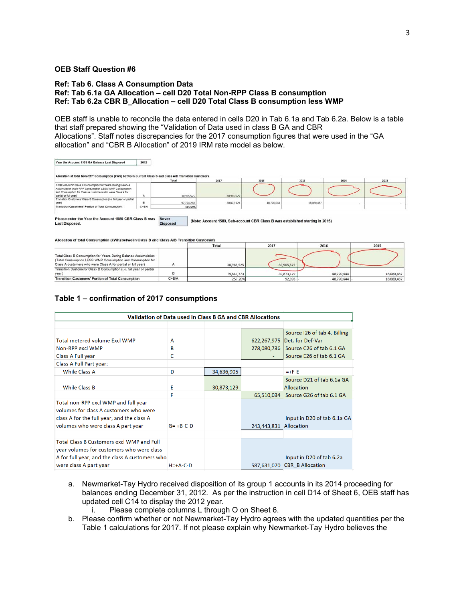### **Ref: Tab 6. Class A Consumption Data Ref: Tab 6.1a GA Allocation – cell D20 Total Non-RPP Class B consumption Ref: Tab 6.2a CBR B\_Allocation – cell D20 Total Class B consumption less WMP**

OEB staff is unable to reconcile the data entered in cells D20 in Tab 6.1a and Tab 6.2a. Below is a table that staff prepared showing the "Validation of Data used in class B GA and CBR Allocations". Staff notes discrepancies for the 2017 consumption figures that were used in the "GA allocation" and "CBR B Allocation" of 2019 IRM rate model as below.

Year the Account 1589 GA Balance Last Disposed 2012 of total Non-RPP Consumption (kWh) between Current Class B and Class A/B Transiti 2017 Total Non-RPP Class B Consumption for Years During Balance on LESS WMP Consumption tial or full year)<br>nation Customers' Class B Consumption (i.e. full year or partial<br>n 30,965.52 30,965,52 97,724,260<br>315.59% 18,080,487 30,873,129 48,770,644 year)<br>Transition Customers' Portion of Total Consumption  $C = B/A$ 

Please enter the Year the Account 1580 CBR Class B was **Last Disposed.** 

(Note: Account 1580, Sub-account CBR Class B was established starting in 2015)

Allocation of total Consumption (kWh) between Class B and Class A/B Transition Customers

**Disposed** 

|                                                                                                                                                                                                |           | Total      | 2017       | 2016       | 2015       |
|------------------------------------------------------------------------------------------------------------------------------------------------------------------------------------------------|-----------|------------|------------|------------|------------|
| Total Class B Consumption for Years During Balance Accumulation<br>(Total Consumption LESS WMP Consumption and Consumption for<br>Class A customers who were Class A for partial or full year) |           | 30.965.525 | 30.965.525 |            |            |
| Transition Customers' Class B Consumption (i.e. full year or partial<br>year)                                                                                                                  |           | 79.643.773 | 30,873,129 | 48.770.644 | 18,080,487 |
| <b>Transition Customers' Portion of Total Consumption</b>                                                                                                                                      | $C = B/A$ | 257.20%    | 92,396     | 48,770,644 | 18,080,487 |

### **Table 1 – confirmation of 2017 consumptions**

| <b>Validation of Data used in Class B GA and CBR Allocations</b> |              |            |                        |                                     |  |  |
|------------------------------------------------------------------|--------------|------------|------------------------|-------------------------------------|--|--|
|                                                                  |              |            |                        |                                     |  |  |
|                                                                  |              |            |                        | Source 126 of tab 4. Billing        |  |  |
| Total metered volume Excl WMP                                    | A            |            | 622,267,975            | Det. for Def-Var                    |  |  |
| Non-RPP excl WMP                                                 | в            |            | 278,080,736            | Source C26 of tab 6.1 GA            |  |  |
| Class A Full year                                                | C            |            |                        | Source E26 of tab 6.1 GA            |  |  |
| Class A Full Part year:                                          |              |            |                        |                                     |  |  |
| <b>While Class A</b>                                             | D            | 34,636,905 |                        | $= +F-E$                            |  |  |
|                                                                  |              |            |                        | Source D21 of tab 6.1a GA           |  |  |
| <b>While Class B</b>                                             | E            | 30,873,129 |                        | Allocation                          |  |  |
|                                                                  | F            |            |                        | 65,510,034 Source G26 of tab 6.1 GA |  |  |
| Total non-RPP excl WMP and full year                             |              |            |                        |                                     |  |  |
| volumes for class A customers who were                           |              |            |                        |                                     |  |  |
| class A for the full year, and the class A                       |              |            |                        | Input in D20 of tab 6.1a GA         |  |  |
| volumes who were class A part year                               | $G = +B-C-D$ |            | 243,443,831 Allocation |                                     |  |  |
|                                                                  |              |            |                        |                                     |  |  |
| <b>Total Class B Customers excl WMP and Full</b>                 |              |            |                        |                                     |  |  |
| year volumes for customers who were class                        |              |            |                        |                                     |  |  |
| A for full year, and the class A customers who                   |              |            |                        | Input in D20 of tab 6.2a            |  |  |
| were class A part year                                           | $H = +A-C-D$ |            |                        | 587,631,070 CBR B Allocation        |  |  |

- a. Newmarket-Tay Hydro received disposition of its group 1 accounts in its 2014 proceeding for balances ending December 31, 2012. As per the instruction in cell D14 of Sheet 6, OEB staff has updated cell C14 to display the 2012 year.
	- i. Please complete columns L through O on Sheet 6.
- b. Please confirm whether or not Newmarket-Tay Hydro agrees with the updated quantities per the Table 1 calculations for 2017. If not please explain why Newmarket-Tay Hydro believes the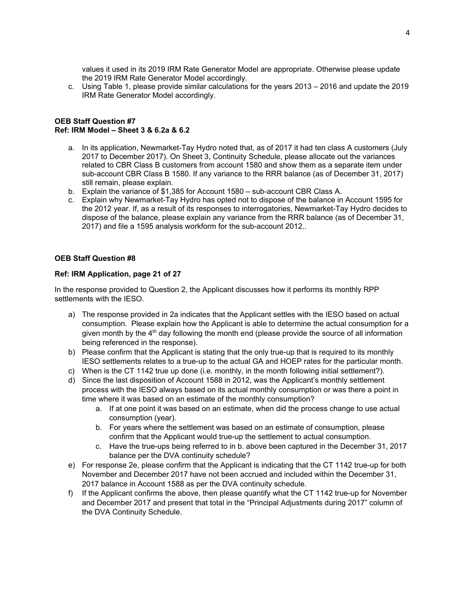values it used in its 2019 IRM Rate Generator Model are appropriate. Otherwise please update the 2019 IRM Rate Generator Model accordingly.

c. Using Table 1, please provide similar calculations for the years 2013 – 2016 and update the 2019 IRM Rate Generator Model accordingly.

## **OEB Staff Question #7 Ref: IRM Model – Sheet 3 & 6.2a & 6.2**

- a. In its application, Newmarket-Tay Hydro noted that, as of 2017 it had ten class A customers (July 2017 to December 2017). On Sheet 3, Continuity Schedule, please allocate out the variances related to CBR Class B customers from account 1580 and show them as a separate item under sub-account CBR Class B 1580. If any variance to the RRR balance (as of December 31, 2017) still remain, please explain.
- b. Explain the variance of \$1,385 for Account 1580 sub-account CBR Class A.
- c. Explain why Newmarket-Tay Hydro has opted not to dispose of the balance in Account 1595 for the 2012 year. If, as a result of its responses to interrogatories, Newmarket-Tay Hydro decides to dispose of the balance, please explain any variance from the RRR balance (as of December 31, 2017) and file a 1595 analysis workform for the sub-account 2012..

# **OEB Staff Question #8**

## **Ref: IRM Application, page 21 of 27**

In the response provided to Question 2, the Applicant discusses how it performs its monthly RPP settlements with the IESO.

- a) The response provided in 2a indicates that the Applicant settles with the IESO based on actual consumption. Please explain how the Applicant is able to determine the actual consumption for a given month by the  $4<sup>th</sup>$  day following the month end (please provide the source of all information being referenced in the response).
- b) Please confirm that the Applicant is stating that the only true-up that is required to its monthly IESO settlements relates to a true-up to the actual GA and HOEP rates for the particular month.
- c) When is the CT 1142 true up done (i.e. monthly, in the month following initial settlement?).
- d) Since the last disposition of Account 1588 in 2012, was the Applicant's monthly settlement process with the IESO always based on its actual monthly consumption or was there a point in time where it was based on an estimate of the monthly consumption?
	- a. If at one point it was based on an estimate, when did the process change to use actual consumption (year).
	- b. For years where the settlement was based on an estimate of consumption, please confirm that the Applicant would true-up the settlement to actual consumption.
	- c. Have the true-ups being referred to in b. above been captured in the December 31, 2017 balance per the DVA continuity schedule?
- e) For response 2e, please confirm that the Applicant is indicating that the CT 1142 true-up for both November and December 2017 have not been accrued and included within the December 31, 2017 balance in Account 1588 as per the DVA continuity schedule.
- f) If the Applicant confirms the above, then please quantify what the CT 1142 true-up for November and December 2017 and present that total in the "Principal Adjustments during 2017" column of the DVA Continuity Schedule.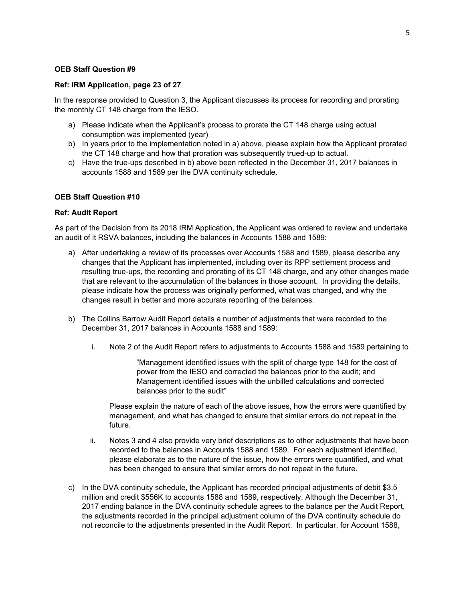#### **Ref: IRM Application, page 23 of 27**

In the response provided to Question 3, the Applicant discusses its process for recording and prorating the monthly CT 148 charge from the IESO.

- a) Please indicate when the Applicant's process to prorate the CT 148 charge using actual consumption was implemented (year)
- b) In years prior to the implementation noted in a) above, please explain how the Applicant prorated the CT 148 charge and how that proration was subsequently trued-up to actual.
- c) Have the true-ups described in b) above been reflected in the December 31, 2017 balances in accounts 1588 and 1589 per the DVA continuity schedule.

## **OEB Staff Question #10**

#### **Ref: Audit Report**

As part of the Decision from its 2018 IRM Application, the Applicant was ordered to review and undertake an audit of it RSVA balances, including the balances in Accounts 1588 and 1589:

- a) After undertaking a review of its processes over Accounts 1588 and 1589, please describe any changes that the Applicant has implemented, including over its RPP settlement process and resulting true-ups, the recording and prorating of its CT 148 charge, and any other changes made that are relevant to the accumulation of the balances in those account. In providing the details, please indicate how the process was originally performed, what was changed, and why the changes result in better and more accurate reporting of the balances.
- b) The Collins Barrow Audit Report details a number of adjustments that were recorded to the December 31, 2017 balances in Accounts 1588 and 1589:
	- i. Note 2 of the Audit Report refers to adjustments to Accounts 1588 and 1589 pertaining to

"Management identified issues with the split of charge type 148 for the cost of power from the IESO and corrected the balances prior to the audit; and Management identified issues with the unbilled calculations and corrected balances prior to the audit"

Please explain the nature of each of the above issues, how the errors were quantified by management, and what has changed to ensure that similar errors do not repeat in the future.

- ii. Notes 3 and 4 also provide very brief descriptions as to other adjustments that have been recorded to the balances in Accounts 1588 and 1589. For each adjustment identified, please elaborate as to the nature of the issue, how the errors were quantified, and what has been changed to ensure that similar errors do not repeat in the future.
- c) In the DVA continuity schedule, the Applicant has recorded principal adjustments of debit \$3.5 million and credit \$556K to accounts 1588 and 1589, respectively. Although the December 31, 2017 ending balance in the DVA continuity schedule agrees to the balance per the Audit Report, the adjustments recorded in the principal adjustment column of the DVA continuity schedule do not reconcile to the adjustments presented in the Audit Report. In particular, for Account 1588,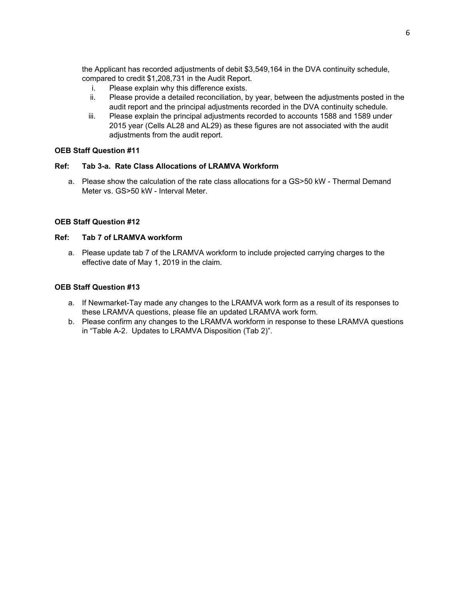the Applicant has recorded adjustments of debit \$3,549,164 in the DVA continuity schedule, compared to credit \$1,208,731 in the Audit Report.

- i. Please explain why this difference exists.
- ii. Please provide a detailed reconciliation, by year, between the adjustments posted in the audit report and the principal adjustments recorded in the DVA continuity schedule.
- iii. Please explain the principal adjustments recorded to accounts 1588 and 1589 under 2015 year (Cells AL28 and AL29) as these figures are not associated with the audit adjustments from the audit report.

# **OEB Staff Question #11**

# **Ref: Tab 3-a. Rate Class Allocations of LRAMVA Workform**

a. Please show the calculation of the rate class allocations for a GS>50 kW - Thermal Demand Meter vs. GS>50 kW - Interval Meter.

# **OEB Staff Question #12**

# **Ref: Tab 7 of LRAMVA workform**

a. Please update tab 7 of the LRAMVA workform to include projected carrying charges to the effective date of May 1, 2019 in the claim.

# **OEB Staff Question #13**

- a. If Newmarket-Tay made any changes to the LRAMVA work form as a result of its responses to these LRAMVA questions, please file an updated LRAMVA work form.
- b. Please confirm any changes to the LRAMVA workform in response to these LRAMVA questions in "Table A-2. Updates to LRAMVA Disposition (Tab 2)".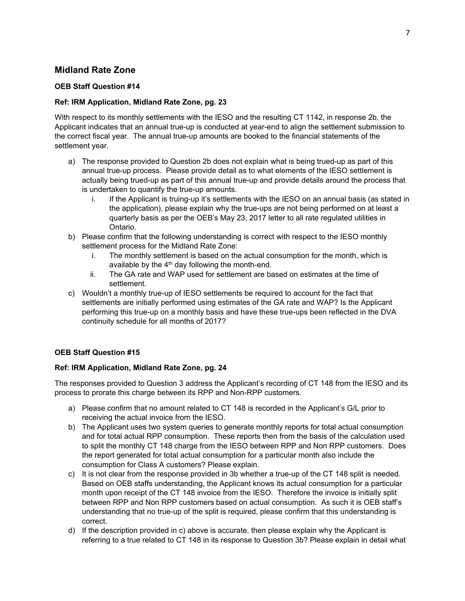# **Midland Rate Zone**

# **OEB Staff Question #14**

# **Ref: IRM Application, Midland Rate Zone, pg. 23**

With respect to its monthly settlements with the IESO and the resulting CT 1142, in response 2b, the Applicant indicates that an annual true-up is conducted at year-end to align the settlement submission to the correct fiscal year. The annual true-up amounts are booked to the financial statements of the settlement year.

- a) The response provided to Question 2b does not explain what is being trued-up as part of this annual true-up process. Please provide detail as to what elements of the IESO settlement is actually being trued-up as part of this annual true-up and provide details around the process that is undertaken to quantify the true-up amounts.
	- i. If the Applicant is truing-up it's settlements with the IESO on an annual basis (as stated in the application), please explain why the true-ups are not being performed on at least a quarterly basis as per the OEB's May 23, 2017 letter to all rate regulated utilities in Ontario.
- b) Please confirm that the following understanding is correct with respect to the IESO monthly settlement process for the Midland Rate Zone:
	- i. The monthly settlement is based on the actual consumption for the month, which is available by the  $4<sup>th</sup>$  day following the month-end.
	- ii. The GA rate and WAP used for settlement are based on estimates at the time of settlement.
- c) Wouldn't a monthly true-up of IESO settlements be required to account for the fact that settlements are initially performed using estimates of the GA rate and WAP? Is the Applicant performing this true-up on a monthly basis and have these true-ups been reflected in the DVA continuity schedule for all months of 2017?

# **OEB Staff Question #15**

## **Ref: IRM Application, Midland Rate Zone, pg. 24**

The responses provided to Question 3 address the Applicant's recording of CT 148 from the IESO and its process to prorate this charge between its RPP and Non-RPP customers.

- a) Please confirm that no amount related to CT 148 is recorded in the Applicant's G/L prior to receiving the actual invoice from the IESO.
- b) The Applicant uses two system queries to generate monthly reports for total actual consumption and for total actual RPP consumption. These reports then from the basis of the calculation used to split the monthly CT 148 charge from the IESO between RPP and Non RPP customers. Does the report generated for total actual consumption for a particular month also include the consumption for Class A customers? Please explain.
- c) It is not clear from the response provided in 3b whether a true-up of the CT 148 split is needed. Based on OEB staffs understanding, the Applicant knows its actual consumption for a particular month upon receipt of the CT 148 invoice from the IESO. Therefore the invoice is initially split between RPP and Non RPP customers based on actual consumption. As such it is OEB staff's understanding that no true-up of the split is required, please confirm that this understanding is correct.
- d) If the description provided in c) above is accurate, then please explain why the Applicant is referring to a true related to CT 148 in its response to Question 3b? Please explain in detail what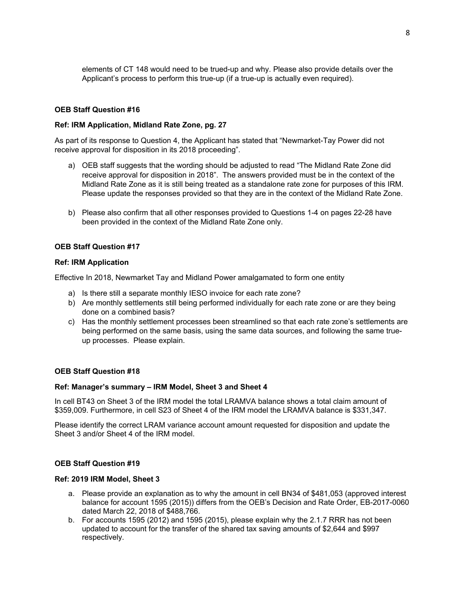elements of CT 148 would need to be trued-up and why. Please also provide details over the Applicant's process to perform this true-up (if a true-up is actually even required).

### **OEB Staff Question #16**

#### **Ref: IRM Application, Midland Rate Zone, pg. 27**

As part of its response to Question 4, the Applicant has stated that "Newmarket-Tay Power did not receive approval for disposition in its 2018 proceeding".

- a) OEB staff suggests that the wording should be adjusted to read "The Midland Rate Zone did receive approval for disposition in 2018". The answers provided must be in the context of the Midland Rate Zone as it is still being treated as a standalone rate zone for purposes of this IRM. Please update the responses provided so that they are in the context of the Midland Rate Zone.
- b) Please also confirm that all other responses provided to Questions 1-4 on pages 22-28 have been provided in the context of the Midland Rate Zone only.

### **OEB Staff Question #17**

#### **Ref: IRM Application**

Effective In 2018, Newmarket Tay and Midland Power amalgamated to form one entity

- a) Is there still a separate monthly IESO invoice for each rate zone?
- b) Are monthly settlements still being performed individually for each rate zone or are they being done on a combined basis?
- c) Has the monthly settlement processes been streamlined so that each rate zone's settlements are being performed on the same basis, using the same data sources, and following the same trueup processes. Please explain.

## **OEB Staff Question #18**

#### **Ref: Manager's summary – IRM Model, Sheet 3 and Sheet 4**

In cell BT43 on Sheet 3 of the IRM model the total LRAMVA balance shows a total claim amount of \$359,009. Furthermore, in cell S23 of Sheet 4 of the IRM model the LRAMVA balance is \$331,347.

Please identify the correct LRAM variance account amount requested for disposition and update the Sheet 3 and/or Sheet 4 of the IRM model.

## **OEB Staff Question #19**

#### **Ref: 2019 IRM Model, Sheet 3**

- a. Please provide an explanation as to why the amount in cell BN34 of \$481,053 (approved interest balance for account 1595 (2015)) differs from the OEB's Decision and Rate Order, EB-2017-0060 dated March 22, 2018 of \$488,766.
- b. For accounts 1595 (2012) and 1595 (2015), please explain why the 2.1.7 RRR has not been updated to account for the transfer of the shared tax saving amounts of \$2,644 and \$997 respectively.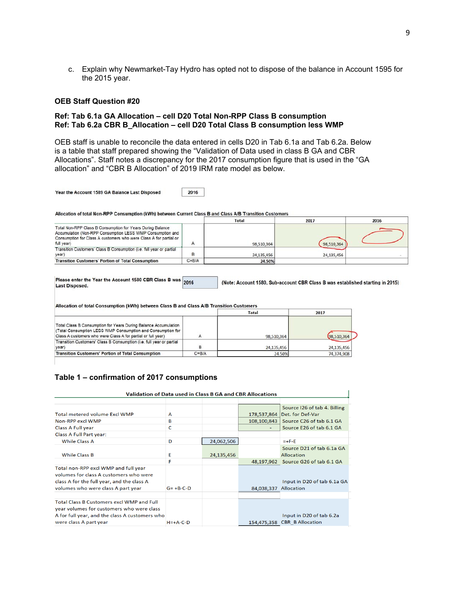c. Explain why Newmarket-Tay Hydro has opted not to dispose of the balance in Account 1595 for the 2015 year.

#### **OEB Staff Question #20**

### **Ref: Tab 6.1a GA Allocation – cell D20 Total Non-RPP Class B consumption Ref: Tab 6.2a CBR B\_Allocation – cell D20 Total Class B consumption less WMP**

OEB staff is unable to reconcile the data entered in cells D20 in Tab 6.1a and Tab 6.2a. Below is a table that staff prepared showing the "Validation of Data used in class B GA and CBR Allocations". Staff notes a discrepancy for the 2017 consumption figure that is used in the "GA allocation" and "CBR B Allocation" of 2019 IRM rate model as below.

Year the Account 1589 GA Balance Last Disposed

2016

Allocation of total Non-RPP Consumption (kWh) between Current Class B and Class A/B Transition Customers

|                                                                                                                                                                                                             |           | Total      | 2017       | 2016 |
|-------------------------------------------------------------------------------------------------------------------------------------------------------------------------------------------------------------|-----------|------------|------------|------|
| Total Non-RPP Class B Consumption for Years During Balance<br>Accumulation (Non-RPP Consumption LESS WMP Consumption and<br>Consumption for Class A customers who were Class A for partial or<br>full year) |           | 98,510,364 | 98,510,364 |      |
| Transition Customers' Class B Consumption (i.e. full year or partial<br>year)                                                                                                                               |           | 24,135,456 | 24,135,456 |      |
| <b>Transition Customers' Portion of Total Consumption</b>                                                                                                                                                   | $C = B/A$ | 24.50%     |            |      |

Please enter the Year the Account 1580 CBR Class B was 2016 **Last Disposed.** 

(Note: Account 1580, Sub-account CBR Class B was established starting in 2015)

Allocation of total Consumption (kWh) between Class B and Class A/B Transition Customers

|                                                                                                                                                                                                |           | <b>Total</b> | 2017       |
|------------------------------------------------------------------------------------------------------------------------------------------------------------------------------------------------|-----------|--------------|------------|
| Total Class B Consumption for Years During Balance Accumulation<br>(Total Consumption LESS WMP Consumption and Consumption for<br>Class A customers who were Class A for partial or full year) |           | 98,510,364   | 98 510 364 |
| Transition Customers' Class B Consumption (i.e. full year or partial<br>year)                                                                                                                  | B         | 24,135,456   | 24,135,456 |
| <b>Transition Customers' Portion of Total Consumption</b>                                                                                                                                      | $C = B/A$ | 24.50%       | 74,374,908 |

# **Table 1 – confirmation of 2017 consumptions**

| Validation of Data used in Class B GA and CBR Allocations                      |              |            |             |                                     |  |
|--------------------------------------------------------------------------------|--------------|------------|-------------|-------------------------------------|--|
|                                                                                |              |            |             |                                     |  |
|                                                                                |              |            |             | Source 126 of tab 4. Billing        |  |
| <b>Total metered volume Excl WMP</b>                                           | A            |            |             | 178,537,864   Det. for Def-Var      |  |
| Non-RPP excl WMP                                                               | в            |            | 108,100,843 | Source C26 of tab 6.1 GA            |  |
| <b>Class A Full year</b>                                                       | C            |            |             | Source E26 of tab 6.1 GA            |  |
| Class A Full Part year:                                                        |              |            |             |                                     |  |
| <b>While Class A</b>                                                           | D            | 24,062,506 |             | $= +F-E$                            |  |
|                                                                                |              |            |             | Source D21 of tab 6.1a GA           |  |
| <b>While Class B</b>                                                           | E            | 24,135,456 |             | Allocation                          |  |
|                                                                                | F            |            |             | 48,197,962 Source G26 of tab 6.1 GA |  |
| Total non-RPP excl WMP and full year<br>volumes for class A customers who were |              |            |             |                                     |  |
| class A for the full year, and the class A                                     |              |            |             | Input in D20 of tab 6.1a GA         |  |
| volumes who were class A part year                                             | $G = +B-C-D$ |            | 84,038,337  | Allocation                          |  |
|                                                                                |              |            |             |                                     |  |
| <b>Total Class B Customers excl WMP and Full</b>                               |              |            |             |                                     |  |
| year volumes for customers who were class                                      |              |            |             |                                     |  |
| A for full year, and the class A customers who                                 |              |            |             | Input in D20 of tab 6.2a            |  |
| were class A part year                                                         | $H = +A-C-D$ |            |             | 154,475,358 CBR B Allocation        |  |